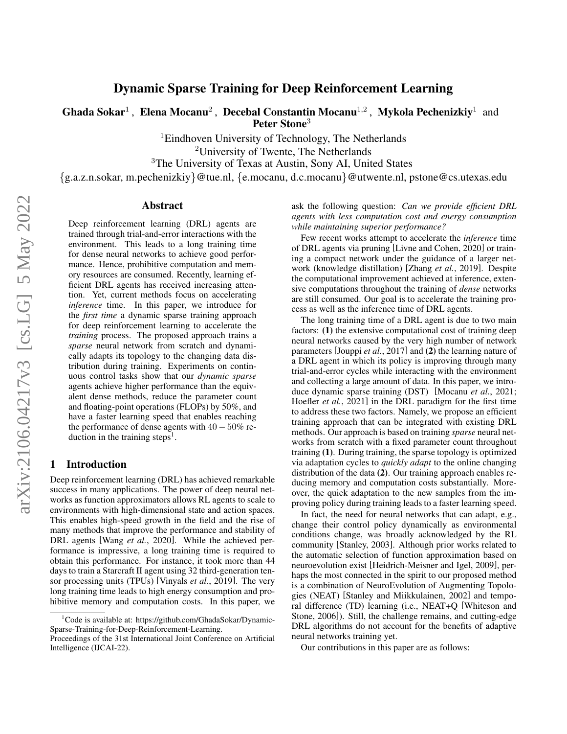# arXiv:2106.04217v3 [cs.LG] 5 May 2022 arXiv:2106.04217v3 [cs.LG] 5 May 2022

# Dynamic Sparse Training for Deep Reinforcement Learning

Ghada Sokar<sup>1</sup>, Elena Mocanu<sup>2</sup>, Decebal Constantin Mocanu<sup>1,2</sup>, Mykola Pechenizkiy<sup>1</sup> and Peter Stone<sup>3</sup>

> <sup>1</sup>Eindhoven University of Technology, The Netherlands <sup>2</sup>University of Twente, The Netherlands

<sup>3</sup>The University of Texas at Austin, Sony AI, United States

{g.a.z.n.sokar, m.pechenizkiy}@tue.nl, {e.mocanu, d.c.mocanu}@utwente.nl, pstone@cs.utexas.edu

### Abstract

Deep reinforcement learning (DRL) agents are trained through trial-and-error interactions with the environment. This leads to a long training time for dense neural networks to achieve good performance. Hence, prohibitive computation and memory resources are consumed. Recently, learning efficient DRL agents has received increasing attention. Yet, current methods focus on accelerating *inference* time. In this paper, we introduce for the *first time* a dynamic sparse training approach for deep reinforcement learning to accelerate the *training* process. The proposed approach trains a *sparse* neural network from scratch and dynamically adapts its topology to the changing data distribution during training. Experiments on continuous control tasks show that our *dynamic sparse* agents achieve higher performance than the equivalent dense methods, reduce the parameter count and floating-point operations (FLOPs) by 50%, and have a faster learning speed that enables reaching the performance of dense agents with  $40 - 50\%$  re-duction in the training steps<sup>[1](#page-0-0)</sup>.

## 1 Introduction

Deep reinforcement learning (DRL) has achieved remarkable success in many applications. The power of deep neural networks as function approximators allows RL agents to scale to environments with high-dimensional state and action spaces. This enables high-speed growth in the field and the rise of many methods that improve the performance and stability of DRL agents [Wang *et al.*[, 2020\]](#page-7-0). While the achieved performance is impressive, a long training time is required to obtain this performance. For instance, it took more than 44 days to train a Starcraft II agent using 32 third-generation tensor processing units (TPUs) [\[Vinyals](#page-7-1) *et al.*, 2019]. The very long training time leads to high energy consumption and prohibitive memory and computation costs. In this paper, we ask the following question: *Can we provide efficient DRL agents with less computation cost and energy consumption while maintaining superior performance?*

Few recent works attempt to accelerate the *inference* time of DRL agents via pruning [\[Livne and Cohen, 2020\]](#page-6-0) or training a compact network under the guidance of a larger network (knowledge distillation) [\[Zhang](#page-7-2) *et al.*, 2019]. Despite the computational improvement achieved at inference, extensive computations throughout the training of *dense* networks are still consumed. Our goal is to accelerate the training process as well as the inference time of DRL agents.

The long training time of a DRL agent is due to two main factors: (1) the extensive computational cost of training deep neural networks caused by the very high number of network parameters [\[Jouppi](#page-6-1) *et al.*, 2017] and (2) the learning nature of a DRL agent in which its policy is improving through many trial-and-error cycles while interacting with the environment and collecting a large amount of data. In this paper, we introduce dynamic sparse training (DST) [\[Mocanu](#page-7-3) *et al.*, 2021; [Hoefler](#page-6-2) *et al.*, 2021] in the DRL paradigm for the first time to address these two factors. Namely, we propose an efficient training approach that can be integrated with existing DRL methods. Our approach is based on training *sparse* neural networks from scratch with a fixed parameter count throughout training (1). During training, the sparse topology is optimized via adaptation cycles to *quickly adapt* to the online changing distribution of the data (2). Our training approach enables reducing memory and computation costs substantially. Moreover, the quick adaptation to the new samples from the improving policy during training leads to a faster learning speed.

In fact, the need for neural networks that can adapt, e.g., change their control policy dynamically as environmental conditions change, was broadly acknowledged by the RL community [\[Stanley, 2003\]](#page-7-4). Although prior works related to the automatic selection of function approximation based on neuroevolution exist [\[Heidrich-Meisner and Igel, 2009\]](#page-6-3), perhaps the most connected in the spirit to our proposed method is a combination of NeuroEvolution of Augmenting Topologies (NEAT) [\[Stanley and Miikkulainen, 2002\]](#page-7-5) and temporal difference (TD) learning (i.e., NEAT+Q [\[Whiteson and](#page-7-6) [Stone, 2006\]](#page-7-6)). Still, the challenge remains, and cutting-edge DRL algorithms do not account for the benefits of adaptive neural networks training yet.

Our contributions in this paper are as follows:

<span id="page-0-0"></span> $1$ Code is available at: https://github.com/GhadaSokar/Dynamic-Sparse-Training-for-Deep-Reinforcement-Learning.

Proceedings of the 31st International Joint Conference on Artificial Intelligence (IJCAI-22).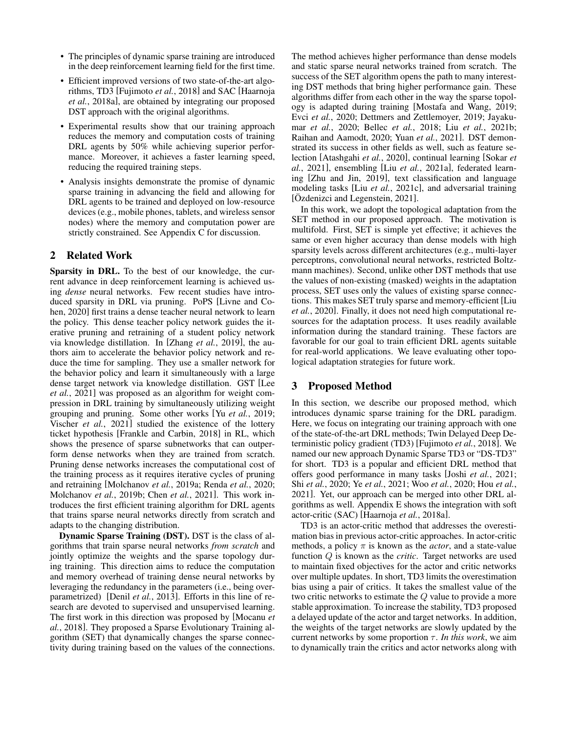- The principles of dynamic sparse training are introduced in the deep reinforcement learning field for the first time.
- Efficient improved versions of two state-of-the-art algorithms, TD3 [\[Fujimoto](#page-6-4) *et al.*, 2018] and SAC [\[Haarnoja](#page-6-5) *et al.*[, 2018a\]](#page-6-5), are obtained by integrating our proposed DST approach with the original algorithms.
- Experimental results show that our training approach reduces the memory and computation costs of training DRL agents by 50% while achieving superior performance. Moreover, it achieves a faster learning speed, reducing the required training steps.
- Analysis insights demonstrate the promise of dynamic sparse training in advancing the field and allowing for DRL agents to be trained and deployed on low-resource devices (e.g., mobile phones, tablets, and wireless sensor nodes) where the memory and computation power are strictly constrained. See Appendix [C](#page-8-0) for discussion.

# 2 Related Work

Sparsity in DRL. To the best of our knowledge, the current advance in deep reinforcement learning is achieved using *dense* neural networks. Few recent studies have introduced sparsity in DRL via pruning. PoPS [\[Livne and Co](#page-6-0)[hen, 2020\]](#page-6-0) first trains a dense teacher neural network to learn the policy. This dense teacher policy network guides the iterative pruning and retraining of a student policy network via knowledge distillation. In [Zhang *et al.*[, 2019\]](#page-7-2), the authors aim to accelerate the behavior policy network and reduce the time for sampling. They use a smaller network for the behavior policy and learn it simultaneously with a large dense target network via knowledge distillation. GST [\[Lee](#page-6-6) *et al.*[, 2021\]](#page-6-6) was proposed as an algorithm for weight compression in DRL training by simultaneously utilizing weight grouping and pruning. Some other works [Yu *et al.*[, 2019;](#page-7-7) Vischer *et al.*[, 2021\]](#page-7-8) studied the existence of the lottery ticket hypothesis [\[Frankle and Carbin, 2018\]](#page-6-7) in RL, which shows the presence of sparse subnetworks that can outperform dense networks when they are trained from scratch. Pruning dense networks increases the computational cost of the training process as it requires iterative cycles of pruning and retraining [\[Molchanov](#page-7-9) *et al.*, 2019a; [Renda](#page-7-10) *et al.*, 2020; [Molchanov](#page-7-11) *et al.*, 2019b; Chen *et al.*[, 2021\]](#page-6-8). This work introduces the first efficient training algorithm for DRL agents that trains sparse neural networks directly from scratch and adapts to the changing distribution.

Dynamic Sparse Training (DST). DST is the class of algorithms that train sparse neural networks *from scratch* and jointly optimize the weights and the sparse topology during training. This direction aims to reduce the computation and memory overhead of training dense neural networks by leveraging the redundancy in the parameters (i.e., being overparametrized) [Denil *et al.*[, 2013\]](#page-6-9). Efforts in this line of research are devoted to supervised and unsupervised learning. The first work in this direction was proposed by [\[Mocanu](#page-6-10) *et al.*[, 2018\]](#page-6-10). They proposed a Sparse Evolutionary Training algorithm (SET) that dynamically changes the sparse connectivity during training based on the values of the connections. The method achieves higher performance than dense models and static sparse neural networks trained from scratch. The success of the SET algorithm opens the path to many interesting DST methods that bring higher performance gain. These algorithms differ from each other in the way the sparse topology is adapted during training [\[Mostafa and Wang, 2019;](#page-7-12) Evci *et al.*[, 2020;](#page-6-11) [Dettmers and Zettlemoyer, 2019;](#page-6-12) [Jayaku](#page-6-13)mar *et al.*[, 2020;](#page-6-13) Bellec *et al.*[, 2018;](#page-5-0) Liu *et al.*[, 2021b;](#page-6-14) [Raihan and Aamodt, 2020;](#page-7-13) Yuan *et al.*[, 2021\]](#page-7-14). DST demonstrated its success in other fields as well, such as feature selection [\[Atashgahi](#page-5-1) *et al.*, 2020], continual learning [\[Sokar](#page-7-15) *et al.*[, 2021\]](#page-7-15), ensembling [Liu *et al.*[, 2021a\]](#page-6-15), federated learning [\[Zhu and Jin, 2019\]](#page-7-16), text classification and language modeling tasks [Liu *et al.*[, 2021c\]](#page-6-16), and adversarial training [Özdenizci and Legenstein, 2021].

In this work, we adopt the topological adaptation from the SET method in our proposed approach. The motivation is multifold. First, SET is simple yet effective; it achieves the same or even higher accuracy than dense models with high sparsity levels across different architectures (e.g., multi-layer perceptrons, convolutional neural networks, restricted Boltzmann machines). Second, unlike other DST methods that use the values of non-existing (masked) weights in the adaptation process, SET uses only the values of existing sparse connections. This makes SET truly sparse and memory-efficient [\[Liu](#page-6-17) *et al.*[, 2020\]](#page-6-17). Finally, it does not need high computational resources for the adaptation process. It uses readily available information during the standard training. These factors are favorable for our goal to train efficient DRL agents suitable for real-world applications. We leave evaluating other topological adaptation strategies for future work.

# <span id="page-1-0"></span>3 Proposed Method

In this section, we describe our proposed method, which introduces dynamic sparse training for the DRL paradigm. Here, we focus on integrating our training approach with one of the state-of-the-art DRL methods; Twin Delayed Deep Deterministic policy gradient (TD3) [\[Fujimoto](#page-6-4) *et al.*, 2018]. We named our new approach Dynamic Sparse TD3 or "DS-TD3" for short. TD3 is a popular and efficient DRL method that offers good performance in many tasks [Joshi *et al.*[, 2021;](#page-6-18) Shi *et al.*[, 2020;](#page-7-18) Ye *et al.*[, 2021;](#page-7-19) Woo *et al.*[, 2020;](#page-7-20) Hou *[et al.](#page-6-19)*, [2021\]](#page-6-19). Yet, our approach can be merged into other DRL algorithms as well. Appendix [E](#page-9-0) shows the integration with soft actor-critic (SAC) [\[Haarnoja](#page-6-5) *et al.*, 2018a].

TD3 is an actor-critic method that addresses the overestimation bias in previous actor-critic approaches. In actor-critic methods, a policy  $\pi$  is known as the *actor*, and a state-value function Q is known as the *critic*. Target networks are used to maintain fixed objectives for the actor and critic networks over multiple updates. In short, TD3 limits the overestimation bias using a pair of critics. It takes the smallest value of the two critic networks to estimate the Q value to provide a more stable approximation. To increase the stability, TD3 proposed a delayed update of the actor and target networks. In addition, the weights of the target networks are slowly updated by the current networks by some proportion  $\tau$ . *In this work*, we aim to dynamically train the critics and actor networks along with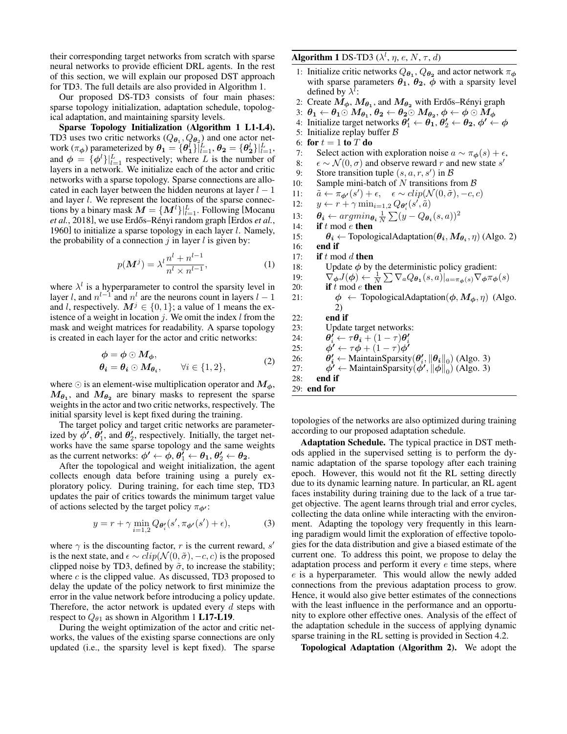their corresponding target networks from scratch with sparse neural networks to provide efficient DRL agents. In the rest of this section, we will explain our proposed DST approach for TD3. The full details are also provided in Algorithm [1.](#page-2-0)

Our proposed DS-TD3 consists of four main phases: sparse topology initialization, adaptation schedule, topological adaptation, and maintaining sparsity levels.

Sparse Topology Initialization (Algorithm [1](#page-2-0) L1-L4). TD3 uses two critic networks  $(Q_{\theta_1}, Q_{\theta_2})$  and one actor network  $(\pi_{\phi})$  parameterized by  $\theta_1 = \{\theta_1^l\}_{l=1}^L$ ,  $\theta_2 = \{\theta_2^l\}_{l=1}^L$ , and  $\phi = {\phi^l}|_{l=1}^L$  respectively; where L is the number of layers in a network. We initialize each of the actor and critic networks with a sparse topology. Sparse connections are allocated in each layer between the hidden neurons at layer  $l - 1$ and layer l. We represent the locations of the sparse connections by a binary mask  $\boldsymbol{M} = \{\boldsymbol{M}^l\}|_{l=1}^L$ . Following [\[Mocanu](#page-6-10) *et al.*[, 2018\]](#page-6-10), we use Erdős–Rényi random graph [\[Erdos](#page-6-20) *et al.*, [1960\]](#page-6-20) to initialize a sparse topology in each layer  $l$ . Namely, the probability of a connection  $j$  in layer  $l$  is given by:

$$
p(\boldsymbol{M}^j) = \lambda^l \frac{n^l + n^{l-1}}{n^l \times n^{l-1}},
$$
\n(1)

where  $\lambda^{l}$  is a hyperparameter to control the sparsity level in layer l, and  $n^{l-1}$  and  $n^l$  are the neurons count in layers  $l-1$ and l, respectively.  $M^{j} \in \{0, 1\}$ ; a value of 1 means the existence of a weight in location  $i$ . We omit the index  $l$  from the mask and weight matrices for readability. A sparse topology is created in each layer for the actor and critic networks:

$$
\begin{aligned}\n\phi &= \phi \odot M_{\phi}, \\
\theta_i &= \theta_i \odot M_{\theta_i}, \qquad \forall i \in \{1, 2\},\n\end{aligned} \tag{2}
$$

where  $\odot$  is an element-wise multiplication operator and  $M_{\phi}$ ,  $M_{\theta_1}$ , and  $M_{\theta_2}$  are binary masks to represent the sparse weights in the actor and two critic networks, respectively. The initial sparsity level is kept fixed during the training.

The target policy and target critic networks are parameterized by  $\phi^{\prime}$ ,  $\theta_1^{\prime}$ , and  $\theta_2^{\prime}$ , respectively. Initially, the target networks have the same sparse topology and the same weights as the current networks:  $\phi' \leftarrow \phi, \theta_1' \leftarrow \theta_1, \theta_2' \leftarrow \theta_2$ .

After the topological and weight initialization, the agent collects enough data before training using a purely exploratory policy. During training, for each time step, TD3 updates the pair of critics towards the minimum target value of actions selected by the target policy  $\pi_{\phi'}$ :

$$
y = r + \gamma \min_{i=1,2} Q_{\theta_i'}(s', \pi_{\phi'}(s') + \epsilon), \tag{3}
$$

where  $\gamma$  is the discounting factor, r is the current reward, s' is the next state, and  $\epsilon \sim clip(\mathcal{N}(0, \tilde{\sigma}), -c, c)$  is the proposed clipped noise by TD3, defined by  $\tilde{\sigma}$ , to increase the stability; where  $c$  is the clipped value. As discussed, TD3 proposed to delay the update of the policy network to first minimize the error in the value network before introducing a policy update. Therefore, the actor network is updated every  $d$  steps with respect to  $Q_{\theta_1}$  as shown in Algorithm [1](#page-2-0) L17-L19.

During the weight optimization of the actor and critic networks, the values of the existing sparse connections are only updated (i.e., the sparsity level is kept fixed). The sparse <span id="page-2-0"></span>Algorithm 1 DS-TD3 ( $\lambda^{l}, \eta, e, N, \tau, d$ )

- 1: Initialize critic networks  $Q_{\theta_1}, Q_{\theta_2}$  and actor network  $\pi_{\phi}$ with sparse parameters  $\theta_1$ ,  $\theta_2$ ,  $\phi$  with a sparsity level defined by  $\lambda^l$ :
- 2: Create  $M_{\phi}$ ,  $M_{\theta_1}$ , and  $M_{\theta_2}$  with Erdős–Rényi graph
- 3:  $\theta_1 \leftarrow \theta_1 \odot M_{\theta_1}, \theta_2 \leftarrow \theta_2 \odot M_{\theta_2}, \phi \leftarrow \phi \odot M_{\phi}$
- 4: Initialize target networks  $\theta'_1 \leftarrow \theta_1, \theta'_2 \leftarrow \theta_2, \phi' \leftarrow \phi$
- 5: Initialize replay buffer  $B$
- 6: for  $t = 1$  to  $T$  do
- 7: Select action with exploration noise  $a \sim \pi_{\phi}(s) + \epsilon$ ,
- 8:  $\epsilon \sim \mathcal{N}(0, \sigma)$  and observe reward r and new state s'
- 9: Store transition tuple  $(s, a, r, s')$  in  $\beta$
- 10: Sample mini-batch of N transitions from  $\beta$
- 11:  $\tilde{a} \leftarrow \pi_{\phi'}(s') + \epsilon, \quad \epsilon \sim clip(\mathcal{N}(0, \tilde{\sigma}), -c, c)$
- 12:  $y \leftarrow r + \gamma \min_{i=1,2} Q_{\theta_i'}(s', \hat{a})$
- 13:  $\theta_i \leftarrow argmin_{\theta_i} \frac{1}{N} \sum_{i} (y Q_{\theta_i}(s, a))^2$
- 14: if  $t \mod e$  then
- 15:  $\theta_i \leftarrow \text{TopologicalAdaptation}(\theta_i, M_{\theta_i}, \eta)$  (Algo. [2\)](#page-3-0)
- 16: end if
- 17: if  $t \mod d$  then
- 18: Update  $\phi$  by the deterministic policy gradient:
- 19:  $\nabla_{\boldsymbol{\phi}} J(\boldsymbol{\phi}) \leftarrow \frac{1}{N} \sum \nabla_a Q_{\boldsymbol{\theta}_1}(s, a) |_{a = \pi_{\boldsymbol{\phi}}(s)} \nabla_{\boldsymbol{\phi}} \pi_{\boldsymbol{\phi}}(s)$
- 20: **if**  $t \mod e$  then 21:  $\phi \leftarrow \text{TopologicalAdaptation}(\phi, M_{\phi}, \eta)$  (Algo. [2\)](#page-3-0)

22: end if

- 23: Update target networks:
- 24:  $\boldsymbol{d}_i \leftarrow \tau \boldsymbol{\theta_i} + (1-\tau) \boldsymbol{\theta_i'}$
- $25:$  $\mathbf{V} \leftarrow \tau \boldsymbol{\phi} + (1 - \tau) \boldsymbol{\phi} \mathbf{V}$
- 26: θ  $\mathbf{z}'_i \leftarrow \text{MaintainSparsity}(\boldsymbol{\theta}_i', \|\boldsymbol{\theta}_i\|_0)$  (Algo. [3\)](#page-3-1)
- $27:$  $\mathbf{D}' \leftarrow \text{MaintainSparsity}(\phi', \|\phi\|_0)$  (Algo. [3\)](#page-3-1)

28: end if 29: end for

topologies of the networks are also optimized during training according to our proposed adaptation schedule.

Adaptation Schedule. The typical practice in DST methods applied in the supervised setting is to perform the dynamic adaptation of the sparse topology after each training epoch. However, this would not fit the RL setting directly due to its dynamic learning nature. In particular, an RL agent faces instability during training due to the lack of a true target objective. The agent learns through trial and error cycles, collecting the data online while interacting with the environment. Adapting the topology very frequently in this learning paradigm would limit the exploration of effective topologies for the data distribution and give a biased estimate of the current one. To address this point, we propose to delay the adaptation process and perform it every  $e$  time steps, where e is a hyperparameter. This would allow the newly added connections from the previous adaptation process to grow. Hence, it would also give better estimates of the connections with the least influence in the performance and an opportunity to explore other effective ones. Analysis of the effect of the adaptation schedule in the success of applying dynamic sparse training in the RL setting is provided in Section [4.2.](#page-4-0)

Topological Adaptation (Algorithm [2\)](#page-3-0). We adopt the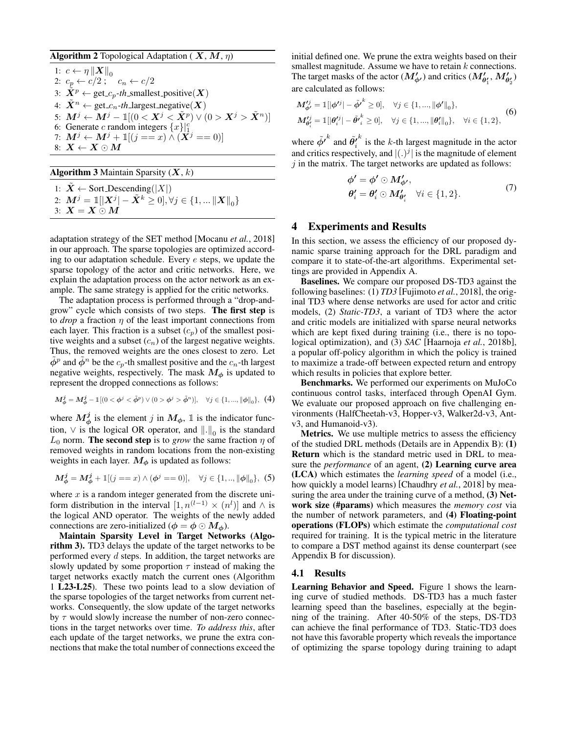### <span id="page-3-0"></span>**Algorithm 2** Topological Adaptation ( $X, M, \eta$ )

1:  $c \leftarrow \eta \left\| \boldsymbol{X} \right\|_0$ 2:  $c_p \leftarrow c/2$ ;  $c_n \leftarrow c/2$ 3:  $\tilde{X}^p \leftarrow \text{get}_p\text{-}th$ \_smallest\_positive( $X$ ) 4:  $X^n \leftarrow \text{get}_c_n\text{-}th$  largest\_negative(X) 5:  $\boldsymbol{M}^j \leftarrow \boldsymbol{M}^j - \mathbb{I}[(0 < \boldsymbol{X}^j < \tilde{\boldsymbol{X}}^p) \vee (0 > \boldsymbol{X}^j > \tilde{\boldsymbol{X}}^n)]$ 6: Generate c random integers  $\{x\}^{c}$ 7:  $M^j \leftarrow M^j + \mathbb{1}[(j == x) \wedge (\bar{X}^j == 0)]$ 8:  $X \leftarrow X \odot M$ 

<span id="page-3-1"></span>**Algorithm 3** Maintain Sparsity  $(X, k)$ 

1:  $\tilde{X} \leftarrow$  Sort\_Descending(|X|) 2:  $\mathbf{M}^j = \mathbb{I}[\|\mathbf{X}^j\| - \tilde{\mathbf{X}}^k \geq 0], \forall j \in \{1, ...\|\mathbf{X}\|_0\}$ 3:  $X = X \odot M$ 

adaptation strategy of the SET method [\[Mocanu](#page-6-10) *et al.*, 2018] in our approach. The sparse topologies are optimized according to our adaptation schedule. Every e steps, we update the sparse topology of the actor and critic networks. Here, we explain the adaptation process on the actor network as an example. The same strategy is applied for the critic networks.

The adaptation process is performed through a "drop-andgrow" cycle which consists of two steps. The first step is to *drop* a fraction  $\eta$  of the least important connections from each layer. This fraction is a subset  $(c_p)$  of the smallest positive weights and a subset  $(c_n)$  of the largest negative weights. Thus, the removed weights are the ones closest to zero. Let  $\tilde{\phi}^p$  and  $\tilde{\phi}^n$  be the  $c_p$ -th smallest positive and the  $c_n$ -th largest negative weights, respectively. The mask  $M_{\phi}$  is updated to represent the dropped connections as follows:

$$
M^j_{\phi}=M^j_{\phi}-\mathbb{I}[(0<\phi^j<\tilde{\phi}^p)\lor(0>\phi^j>\tilde{\phi}^n)],\quad \forall j\in\{1,...,\|\phi\|_0\},\ \ (4)
$$

where  $M_{\phi}^{j}$  is the element j in  $M_{\phi}$ , 1 is the indicator function,  $\vee$  is the logical OR operator, and  $\left\| . \right\|_0$  is the standard  $L_0$  norm. **The second step** is to *grow* the same fraction  $\eta$  of removed weights in random locations from the non-existing weights in each layer.  $M_{\phi}$  is updated as follows:

$$
M_{\phi}^{j} = M_{\phi}^{j} + \mathbb{1}[(j == x) \land (\phi^{j} == 0)], \quad \forall j \in \{1, ..., ||\phi||_{0}\}, \tag{5}
$$

where  $x$  is a random integer generated from the discrete uniform distribution in the interval  $[1, n^{(l-1)} \times (n^l)]$  and  $\wedge$  is the logical AND operator. The weights of the newly added connections are zero-initialized ( $\phi = \phi \odot M_{\phi}$ ).

Maintain Sparsity Level in Target Networks (Algorithm [3\)](#page-3-1). TD3 delays the update of the target networks to be performed every d steps. In addition, the target networks are slowly updated by some proportion  $\tau$  instead of making the target networks exactly match the current ones (Algorithm [1](#page-2-0) L23-L25). These two points lead to a slow deviation of the sparse topologies of the target networks from current networks. Consequently, the slow update of the target networks by  $\tau$  would slowly increase the number of non-zero connections in the target networks over time. *To address this*, after each update of the target networks, we prune the extra connections that make the total number of connections exceed the initial defined one. We prune the extra weights based on their smallest magnitude. Assume we have to retain  $k$  connections. The target masks of the actor  $(M'_{\phi'})$  and critics  $(M'_{\theta'_1}, M'_{\theta'_2})$ are calculated as follows:

$$
M_{\phi'}^{tj} = \mathbb{1}[|\phi^{tj}| - \tilde{\phi'}^k \ge 0], \quad \forall j \in \{1, ..., ||\phi'||_0\},
$$
  

$$
M_{\theta'_i}^{tj} = \mathbb{1}[|\theta_i^{tj}| - \tilde{\theta'}_i^k \ge 0], \quad \forall j \in \{1, ..., ||\theta_i^{t}||_0\}, \quad \forall i \in \{1, 2\},
$$
 (6)

where  $\tilde{\phi'}^k$  and  $\tilde{\theta''_i}$  $k$  is the k-th largest magnitude in the actor and critics respectively, and  $|(.)^j|$  is the magnitude of element  $j$  in the matrix. The target networks are updated as follows:

$$
\begin{aligned}\n\phi' &= \phi' \odot M'_{\phi'}, \\
\theta'_i &= \theta'_i \odot M'_{\theta'_i} \quad \forall i \in \{1, 2\}.\n\end{aligned} \tag{7}
$$

# <span id="page-3-2"></span>4 Experiments and Results

In this section, we assess the efficiency of our proposed dynamic sparse training approach for the DRL paradigm and compare it to state-of-the-art algorithms. Experimental settings are provided in Appendix [A.](#page-8-1)

Baselines. We compare our proposed DS-TD3 against the following baselines: (1) *TD3* [\[Fujimoto](#page-6-4) *et al.*, 2018], the original TD3 where dense networks are used for actor and critic models, (2) *Static-TD3*, a variant of TD3 where the actor and critic models are initialized with sparse neural networks which are kept fixed during training (i.e., there is no topological optimization), and (3) *SAC* [\[Haarnoja](#page-6-21) *et al.*, 2018b], a popular off-policy algorithm in which the policy is trained to maximize a trade-off between expected return and entropy which results in policies that explore better.

Benchmarks. We performed our experiments on MuJoCo continuous control tasks, interfaced through OpenAI Gym. We evaluate our proposed approach on five challenging environments (HalfCheetah-v3, Hopper-v3, Walker2d-v3, Antv3, and Humanoid-v3).

Metrics. We use multiple metrics to assess the efficiency of the studied DRL methods (Details are in Appendix [B\)](#page-8-2): (1) Return which is the standard metric used in DRL to measure the *performance* of an agent, (2) Learning curve area (LCA) which estimates the *learning speed* of a model (i.e., how quickly a model learns) [\[Chaudhry](#page-5-2) *et al.*, 2018] by measuring the area under the training curve of a method, (3) Network size (#params) which measures the *memory cost* via the number of network parameters, and (4) Floating-point operations (FLOPs) which estimate the *computational cost* required for training. It is the typical metric in the literature to compare a DST method against its dense counterpart (see Appendix [B](#page-8-2) for discussion).

### <span id="page-3-3"></span>4.1 Results

Learning Behavior and Speed. Figure [1](#page-4-1) shows the learning curve of studied methods. DS-TD3 has a much faster learning speed than the baselines, especially at the beginning of the training. After 40-50% of the steps, DS-TD3 can achieve the final performance of TD3. Static-TD3 does not have this favorable property which reveals the importance of optimizing the sparse topology during training to adapt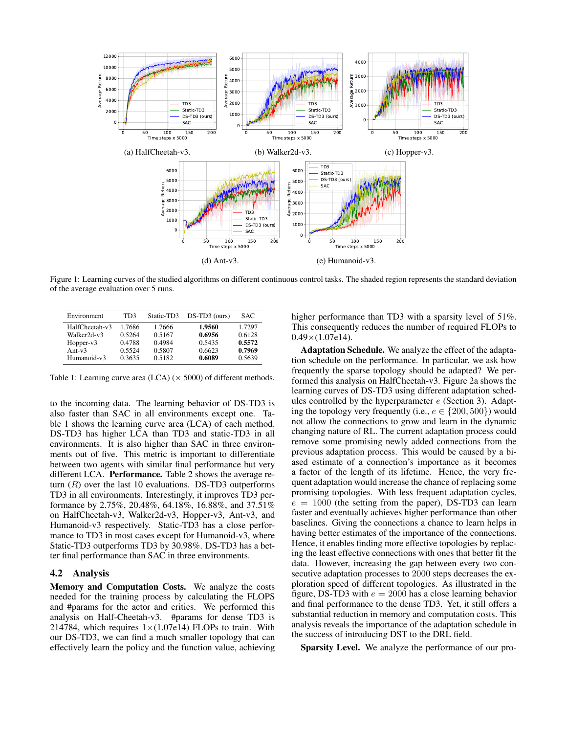<span id="page-4-1"></span>

Figure 1: Learning curves of the studied algorithms on different continuous control tasks. The shaded region represents the standard deviation of the average evaluation over 5 runs.

<span id="page-4-2"></span>

| Environment    | TD3    | Static-TD3 | $DS-TD3$ (ours) | SAC.   |
|----------------|--------|------------|-----------------|--------|
| HalfCheetah-v3 | 1.7686 | 1.7666     | 1.9560          | 1.7297 |
| Walker2d-v3    | 0.5264 | 0.5167     | 0.6956          | 0.6128 |
| Hopper- $v3$   | 0.4788 | 0.4984     | 0.5435          | 0.5572 |
| Ant- $v3$      | 0.5524 | 0.5807     | 0.6623          | 0.7969 |
| Humanoid-v3    | 0.3635 | 0.5182     | 0.6089          | 0.5639 |

Table 1: Learning curve area (LCA)  $(\times 5000)$  of different methods.

to the incoming data. The learning behavior of DS-TD3 is also faster than SAC in all environments except one. Table [1](#page-4-2) shows the learning curve area (LCA) of each method. DS-TD3 has higher LCA than TD3 and static-TD3 in all environments. It is also higher than SAC in three environments out of five. This metric is important to differentiate between two agents with similar final performance but very different LCA. Performance. Table [2](#page-5-3) shows the average return  $(R)$  over the last 10 evaluations. DS-TD3 outperforms TD3 in all environments. Interestingly, it improves TD3 performance by 2.75%, 20.48%, 64.18%, 16.88%, and 37.51% on HalfCheetah-v3, Walker2d-v3, Hopper-v3, Ant-v3, and Humanoid-v3 respectively. Static-TD3 has a close performance to TD3 in most cases except for Humanoid-v3, where Static-TD3 outperforms TD3 by 30.98%. DS-TD3 has a better final performance than SAC in three environments.

### <span id="page-4-0"></span>4.2 Analysis

Memory and Computation Costs. We analyze the costs needed for the training process by calculating the FLOPS and #params for the actor and critics. We performed this analysis on Half-Cheetah-v3. #params for dense TD3 is 214784, which requires  $1 \times (1.07e14)$  FLOPs to train. With our DS-TD3, we can find a much smaller topology that can effectively learn the policy and the function value, achieving higher performance than TD3 with a sparsity level of 51%. This consequently reduces the number of required FLOPs to  $0.49\times(1.07e14)$ .

Adaptation Schedule. We analyze the effect of the adaptation schedule on the performance. In particular, we ask how frequently the sparse topology should be adapted? We performed this analysis on HalfCheetah-v3. Figure [2a](#page-5-4) shows the learning curves of DS-TD3 using different adaptation schedules controlled by the hyperparameter  $e$  (Section [3\)](#page-1-0). Adapting the topology very frequently (i.e.,  $e \in \{200, 500\}$ ) would not allow the connections to grow and learn in the dynamic changing nature of RL. The current adaptation process could remove some promising newly added connections from the previous adaptation process. This would be caused by a biased estimate of a connection's importance as it becomes a factor of the length of its lifetime. Hence, the very frequent adaptation would increase the chance of replacing some promising topologies. With less frequent adaptation cycles,  $e = 1000$  (the setting from the paper), DS-TD3 can learn faster and eventually achieves higher performance than other baselines. Giving the connections a chance to learn helps in having better estimates of the importance of the connections. Hence, it enables finding more effective topologies by replacing the least effective connections with ones that better fit the data. However, increasing the gap between every two consecutive adaptation processes to 2000 steps decreases the exploration speed of different topologies. As illustrated in the figure, DS-TD3 with  $e = 2000$  has a close learning behavior and final performance to the dense TD3. Yet, it still offers a substantial reduction in memory and computation costs. This analysis reveals the importance of the adaptation schedule in the success of introducing DST to the DRL field.

Sparsity Level. We analyze the performance of our pro-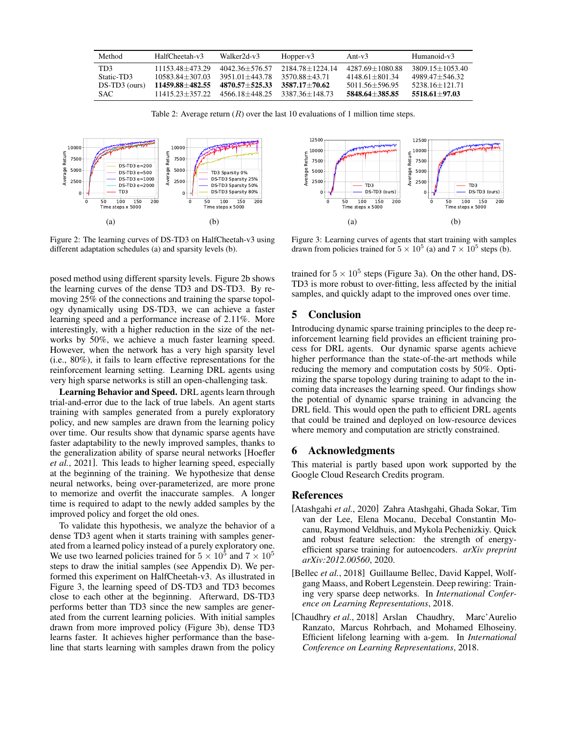<span id="page-5-3"></span>

| Method        | HalfCheetah-v3      | Walker2d-v3        | $Hopper-v3$         | Ant- $v3$           | Humanoid-v3         |
|---------------|---------------------|--------------------|---------------------|---------------------|---------------------|
| TD3           | 11153.48+473.29     | $4042.36 + 576.57$ | $2184.78 + 1224.14$ | $4287.69 + 1080.88$ | $3809.15 + 1053.40$ |
| Static-TD3    | $10583.84 + 307.03$ | 3951.01+443.78     | 3570.88+43.71       | 4148.61+801.34      | $4989\,47+546\,32$  |
| DS-TD3 (ours) | 11459.88+482.55     | $4870.57 + 525.33$ | $3587.17 + 70.62$   | $5011.56 + 596.95$  | $5238.16 + 121.71$  |
| SAC.          | 11415.23+357.22     | $4566.18 + 448.25$ | 3387.36+148.73      | 5848.64+385.85      | 5518.61+97.03       |

Table 2: Average return  $(R)$  over the last 10 evaluations of 1 million time steps.

<span id="page-5-4"></span>

Figure 2: The learning curves of DS-TD3 on HalfCheetah-v3 using different adaptation schedules (a) and sparsity levels (b).

posed method using different sparsity levels. Figure [2b](#page-5-4) shows the learning curves of the dense TD3 and DS-TD3. By removing 25% of the connections and training the sparse topology dynamically using DS-TD3, we can achieve a faster learning speed and a performance increase of 2.11%. More interestingly, with a higher reduction in the size of the networks by 50%, we achieve a much faster learning speed. However, when the network has a very high sparsity level (i.e., 80%), it fails to learn effective representations for the reinforcement learning setting. Learning DRL agents using very high sparse networks is still an open-challenging task.

Learning Behavior and Speed. DRL agents learn through trial-and-error due to the lack of true labels. An agent starts training with samples generated from a purely exploratory policy, and new samples are drawn from the learning policy over time. Our results show that dynamic sparse agents have faster adaptability to the newly improved samples, thanks to the generalization ability of sparse neural networks [\[Hoefler](#page-6-2) *et al.*[, 2021\]](#page-6-2). This leads to higher learning speed, especially at the beginning of the training. We hypothesize that dense neural networks, being over-parameterized, are more prone to memorize and overfit the inaccurate samples. A longer time is required to adapt to the newly added samples by the improved policy and forget the old ones.

To validate this hypothesis, we analyze the behavior of a dense TD3 agent when it starts training with samples generated from a learned policy instead of a purely exploratory one. We use two learned policies trained for  $5 \times 10^5$  and  $7 \times 10^5$ steps to draw the initial samples (see Appendix [D\)](#page-9-1). We performed this experiment on HalfCheetah-v3. As illustrated in Figure [3,](#page-5-5) the learning speed of DS-TD3 and TD3 becomes close to each other at the beginning. Afterward, DS-TD3 performs better than TD3 since the new samples are generated from the current learning policies. With initial samples drawn from more improved policy (Figure [3b\)](#page-5-5), dense TD3 learns faster. It achieves higher performance than the baseline that starts learning with samples drawn from the policy

<span id="page-5-5"></span>

Figure 3: Learning curves of agents that start training with samples drawn from policies trained for  $5 \times 10^5$  (a) and  $7 \times 10^5$  steps (b).

trained for  $5 \times 10^5$  steps (Figure [3a\)](#page-5-5). On the other hand, DS-TD3 is more robust to over-fitting, less affected by the initial samples, and quickly adapt to the improved ones over time.

# 5 Conclusion

Introducing dynamic sparse training principles to the deep reinforcement learning field provides an efficient training process for DRL agents. Our dynamic sparse agents achieve higher performance than the state-of-the-art methods while reducing the memory and computation costs by 50%. Optimizing the sparse topology during training to adapt to the incoming data increases the learning speed. Our findings show the potential of dynamic sparse training in advancing the DRL field. This would open the path to efficient DRL agents that could be trained and deployed on low-resource devices where memory and computation are strictly constrained.

### 6 Acknowledgments

This material is partly based upon work supported by the Google Cloud Research Credits program.

# References

- <span id="page-5-1"></span>[Atashgahi *et al.*, 2020] Zahra Atashgahi, Ghada Sokar, Tim van der Lee, Elena Mocanu, Decebal Constantin Mocanu, Raymond Veldhuis, and Mykola Pechenizkiy. Quick and robust feature selection: the strength of energyefficient sparse training for autoencoders. *arXiv preprint arXiv:2012.00560*, 2020.
- <span id="page-5-0"></span>[Bellec *et al.*, 2018] Guillaume Bellec, David Kappel, Wolfgang Maass, and Robert Legenstein. Deep rewiring: Training very sparse deep networks. In *International Conference on Learning Representations*, 2018.
- <span id="page-5-2"></span>[Chaudhry *et al.*, 2018] Arslan Chaudhry, Marc'Aurelio Ranzato, Marcus Rohrbach, and Mohamed Elhoseiny. Efficient lifelong learning with a-gem. In *International Conference on Learning Representations*, 2018.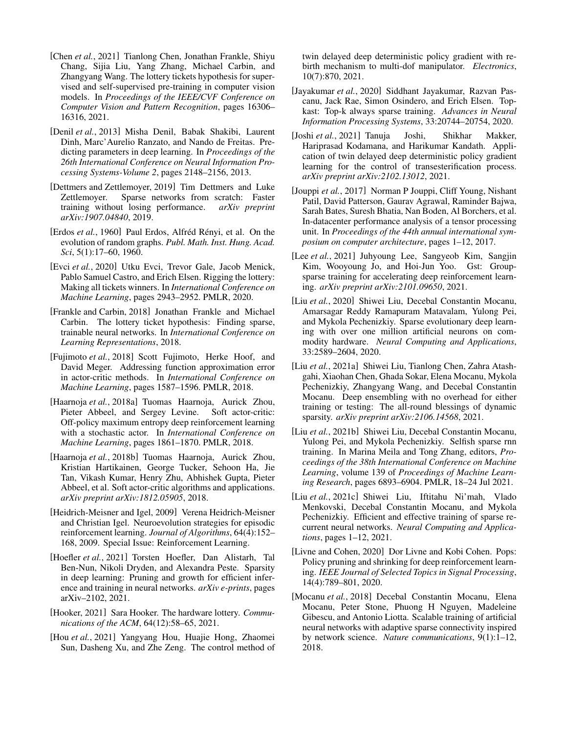- <span id="page-6-8"></span>[Chen *et al.*, 2021] Tianlong Chen, Jonathan Frankle, Shiyu Chang, Sijia Liu, Yang Zhang, Michael Carbin, and Zhangyang Wang. The lottery tickets hypothesis for supervised and self-supervised pre-training in computer vision models. In *Proceedings of the IEEE/CVF Conference on Computer Vision and Pattern Recognition*, pages 16306– 16316, 2021.
- <span id="page-6-9"></span>[Denil *et al.*, 2013] Misha Denil, Babak Shakibi, Laurent Dinh, Marc'Aurelio Ranzato, and Nando de Freitas. Predicting parameters in deep learning. In *Proceedings of the 26th International Conference on Neural Information Processing Systems-Volume 2*, pages 2148–2156, 2013.
- <span id="page-6-12"></span>[Dettmers and Zettlemoyer, 2019] Tim Dettmers and Luke Zettlemoyer. Sparse networks from scratch: Faster training without losing performance. *arXiv preprint arXiv:1907.04840*, 2019.
- <span id="page-6-20"></span>[Erdos *et al.*, 1960] Paul Erdos, Alfréd Rényi, et al. On the evolution of random graphs. *Publ. Math. Inst. Hung. Acad. Sci*, 5(1):17–60, 1960.
- <span id="page-6-11"></span>[Evci et al., 2020] Utku Evci, Trevor Gale, Jacob Menick, Pablo Samuel Castro, and Erich Elsen. Rigging the lottery: Making all tickets winners. In *International Conference on Machine Learning*, pages 2943–2952. PMLR, 2020.
- <span id="page-6-7"></span>[Frankle and Carbin, 2018] Jonathan Frankle and Michael Carbin. The lottery ticket hypothesis: Finding sparse, trainable neural networks. In *International Conference on Learning Representations*, 2018.
- <span id="page-6-4"></span>[Fujimoto *et al.*, 2018] Scott Fujimoto, Herke Hoof, and David Meger. Addressing function approximation error in actor-critic methods. In *International Conference on Machine Learning*, pages 1587–1596. PMLR, 2018.
- <span id="page-6-5"></span>[Haarnoja *et al.*, 2018a] Tuomas Haarnoja, Aurick Zhou, Pieter Abbeel, and Sergey Levine. Soft actor-critic: Off-policy maximum entropy deep reinforcement learning with a stochastic actor. In *International Conference on Machine Learning*, pages 1861–1870. PMLR, 2018.
- <span id="page-6-21"></span>[Haarnoja *et al.*, 2018b] Tuomas Haarnoja, Aurick Zhou, Kristian Hartikainen, George Tucker, Sehoon Ha, Jie Tan, Vikash Kumar, Henry Zhu, Abhishek Gupta, Pieter Abbeel, et al. Soft actor-critic algorithms and applications. *arXiv preprint arXiv:1812.05905*, 2018.
- <span id="page-6-3"></span>[Heidrich-Meisner and Igel, 2009] Verena Heidrich-Meisner and Christian Igel. Neuroevolution strategies for episodic reinforcement learning. *Journal of Algorithms*, 64(4):152– 168, 2009. Special Issue: Reinforcement Learning.
- <span id="page-6-2"></span>[Hoefler *et al.*, 2021] Torsten Hoefler, Dan Alistarh, Tal Ben-Nun, Nikoli Dryden, and Alexandra Peste. Sparsity in deep learning: Pruning and growth for efficient inference and training in neural networks. *arXiv e-prints*, pages arXiv–2102, 2021.
- <span id="page-6-22"></span>[Hooker, 2021] Sara Hooker. The hardware lottery. *Communications of the ACM*, 64(12):58–65, 2021.
- <span id="page-6-19"></span>[Hou *et al.*, 2021] Yangyang Hou, Huajie Hong, Zhaomei Sun, Dasheng Xu, and Zhe Zeng. The control method of

twin delayed deep deterministic policy gradient with rebirth mechanism to multi-dof manipulator. *Electronics*, 10(7):870, 2021.

- <span id="page-6-13"></span>[Jayakumar *et al.*, 2020] Siddhant Jayakumar, Razvan Pascanu, Jack Rae, Simon Osindero, and Erich Elsen. Topkast: Top-k always sparse training. *Advances in Neural Information Processing Systems*, 33:20744–20754, 2020.
- <span id="page-6-18"></span>[Joshi *et al.*, 2021] Tanuja Joshi, Shikhar Makker, Hariprasad Kodamana, and Harikumar Kandath. Application of twin delayed deep deterministic policy gradient learning for the control of transesterification process. *arXiv preprint arXiv:2102.13012*, 2021.
- <span id="page-6-1"></span>[Jouppi *et al.*, 2017] Norman P Jouppi, Cliff Young, Nishant Patil, David Patterson, Gaurav Agrawal, Raminder Bajwa, Sarah Bates, Suresh Bhatia, Nan Boden, Al Borchers, et al. In-datacenter performance analysis of a tensor processing unit. In *Proceedings of the 44th annual international symposium on computer architecture*, pages 1–12, 2017.
- <span id="page-6-6"></span>[Lee *et al.*, 2021] Juhyoung Lee, Sangyeob Kim, Sangjin Kim, Wooyoung Jo, and Hoi-Jun Yoo. Gst: Groupsparse training for accelerating deep reinforcement learning. *arXiv preprint arXiv:2101.09650*, 2021.
- <span id="page-6-17"></span>[Liu *et al.*, 2020] Shiwei Liu, Decebal Constantin Mocanu, Amarsagar Reddy Ramapuram Matavalam, Yulong Pei, and Mykola Pechenizkiy. Sparse evolutionary deep learning with over one million artificial neurons on commodity hardware. *Neural Computing and Applications*, 33:2589–2604, 2020.
- <span id="page-6-15"></span>[Liu *et al.*, 2021a] Shiwei Liu, Tianlong Chen, Zahra Atashgahi, Xiaohan Chen, Ghada Sokar, Elena Mocanu, Mykola Pechenizkiy, Zhangyang Wang, and Decebal Constantin Mocanu. Deep ensembling with no overhead for either training or testing: The all-round blessings of dynamic sparsity. *arXiv preprint arXiv:2106.14568*, 2021.
- <span id="page-6-14"></span>[Liu *et al.*, 2021b] Shiwei Liu, Decebal Constantin Mocanu, Yulong Pei, and Mykola Pechenizkiy. Selfish sparse rnn training. In Marina Meila and Tong Zhang, editors, *Proceedings of the 38th International Conference on Machine Learning*, volume 139 of *Proceedings of Machine Learning Research*, pages 6893–6904. PMLR, 18–24 Jul 2021.
- <span id="page-6-16"></span>[Liu *et al.*, 2021c] Shiwei Liu, Iftitahu Ni'mah, Vlado Menkovski, Decebal Constantin Mocanu, and Mykola Pechenizkiy. Efficient and effective training of sparse recurrent neural networks. *Neural Computing and Applications*, pages 1–12, 2021.
- <span id="page-6-0"></span>[Livne and Cohen, 2020] Dor Livne and Kobi Cohen. Pops: Policy pruning and shrinking for deep reinforcement learning. *IEEE Journal of Selected Topics in Signal Processing*, 14(4):789–801, 2020.
- <span id="page-6-10"></span>[Mocanu *et al.*, 2018] Decebal Constantin Mocanu, Elena Mocanu, Peter Stone, Phuong H Nguyen, Madeleine Gibescu, and Antonio Liotta. Scalable training of artificial neural networks with adaptive sparse connectivity inspired by network science. *Nature communications*, 9(1):1–12, 2018.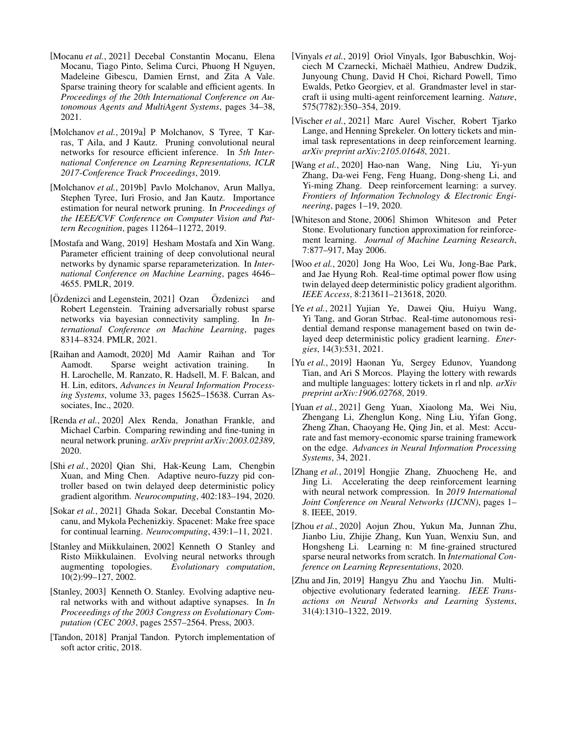- <span id="page-7-3"></span>[Mocanu *et al.*, 2021] Decebal Constantin Mocanu, Elena Mocanu, Tiago Pinto, Selima Curci, Phuong H Nguyen, Madeleine Gibescu, Damien Ernst, and Zita A Vale. Sparse training theory for scalable and efficient agents. In *Proceedings of the 20th International Conference on Autonomous Agents and MultiAgent Systems*, pages 34–38, 2021.
- <span id="page-7-9"></span>[Molchanov *et al.*, 2019a] P Molchanov, S Tyree, T Karras, T Aila, and J Kautz. Pruning convolutional neural networks for resource efficient inference. In *5th International Conference on Learning Representations, ICLR 2017-Conference Track Proceedings*, 2019.
- <span id="page-7-11"></span>[Molchanov *et al.*, 2019b] Pavlo Molchanov, Arun Mallya, Stephen Tyree, Iuri Frosio, and Jan Kautz. Importance estimation for neural network pruning. In *Proceedings of the IEEE/CVF Conference on Computer Vision and Pattern Recognition*, pages 11264–11272, 2019.
- <span id="page-7-12"></span>[Mostafa and Wang, 2019] Hesham Mostafa and Xin Wang. Parameter efficient training of deep convolutional neural networks by dynamic sparse reparameterization. In *International Conference on Machine Learning*, pages 4646– 4655. PMLR, 2019.
- <span id="page-7-17"></span>[Özdenizci and Legenstein, 2021] Ozan Özdenizci and Robert Legenstein. Training adversarially robust sparse networks via bayesian connectivity sampling. In *International Conference on Machine Learning*, pages 8314–8324. PMLR, 2021.
- <span id="page-7-13"></span>[Raihan and Aamodt, 2020] Md Aamir Raihan and Tor Aamodt. Sparse weight activation training. In H. Larochelle, M. Ranzato, R. Hadsell, M. F. Balcan, and H. Lin, editors, *Advances in Neural Information Processing Systems*, volume 33, pages 15625–15638. Curran Associates, Inc., 2020.
- <span id="page-7-10"></span>[Renda *et al.*, 2020] Alex Renda, Jonathan Frankle, and Michael Carbin. Comparing rewinding and fine-tuning in neural network pruning. *arXiv preprint arXiv:2003.02389*, 2020.
- <span id="page-7-18"></span>[Shi *et al.*, 2020] Qian Shi, Hak-Keung Lam, Chengbin Xuan, and Ming Chen. Adaptive neuro-fuzzy pid controller based on twin delayed deep deterministic policy gradient algorithm. *Neurocomputing*, 402:183–194, 2020.
- <span id="page-7-15"></span>[Sokar *et al.*, 2021] Ghada Sokar, Decebal Constantin Mocanu, and Mykola Pechenizkiy. Spacenet: Make free space for continual learning. *Neurocomputing*, 439:1–11, 2021.
- <span id="page-7-5"></span>[Stanley and Miikkulainen, 2002] Kenneth O Stanley and Risto Miikkulainen. Evolving neural networks through augmenting topologies. *Evolutionary computation*, 10(2):99–127, 2002.
- <span id="page-7-4"></span>[Stanley, 2003] Kenneth O. Stanley. Evolving adaptive neural networks with and without adaptive synapses. In *In Proceeedings of the 2003 Congress on Evolutionary Computation (CEC 2003*, pages 2557–2564. Press, 2003.
- <span id="page-7-21"></span>[Tandon, 2018] Pranjal Tandon. Pytorch implementation of soft actor critic, 2018.
- <span id="page-7-1"></span>[Vinyals *et al.*, 2019] Oriol Vinyals, Igor Babuschkin, Wojciech M Czarnecki, Michaël Mathieu, Andrew Dudzik, Junyoung Chung, David H Choi, Richard Powell, Timo Ewalds, Petko Georgiev, et al. Grandmaster level in starcraft ii using multi-agent reinforcement learning. *Nature*, 575(7782):350–354, 2019.
- <span id="page-7-8"></span>[Vischer *et al.*, 2021] Marc Aurel Vischer, Robert Tjarko Lange, and Henning Sprekeler. On lottery tickets and minimal task representations in deep reinforcement learning. *arXiv preprint arXiv:2105.01648*, 2021.
- <span id="page-7-0"></span>[Wang *et al.*, 2020] Hao-nan Wang, Ning Liu, Yi-yun Zhang, Da-wei Feng, Feng Huang, Dong-sheng Li, and Yi-ming Zhang. Deep reinforcement learning: a survey. *Frontiers of Information Technology & Electronic Engineering*, pages 1–19, 2020.
- <span id="page-7-6"></span>[Whiteson and Stone, 2006] Shimon Whiteson and Peter Stone. Evolutionary function approximation for reinforcement learning. *Journal of Machine Learning Research*, 7:877–917, May 2006.
- <span id="page-7-20"></span>[Woo *et al.*, 2020] Jong Ha Woo, Lei Wu, Jong-Bae Park, and Jae Hyung Roh. Real-time optimal power flow using twin delayed deep deterministic policy gradient algorithm. *IEEE Access*, 8:213611–213618, 2020.
- <span id="page-7-19"></span>[Ye *et al.*, 2021] Yujian Ye, Dawei Qiu, Huiyu Wang, Yi Tang, and Goran Strbac. Real-time autonomous residential demand response management based on twin delayed deep deterministic policy gradient learning. *Energies*, 14(3):531, 2021.
- <span id="page-7-7"></span>[Yu *et al.*, 2019] Haonan Yu, Sergey Edunov, Yuandong Tian, and Ari S Morcos. Playing the lottery with rewards and multiple languages: lottery tickets in rl and nlp. *arXiv preprint arXiv:1906.02768*, 2019.
- <span id="page-7-14"></span>[Yuan *et al.*, 2021] Geng Yuan, Xiaolong Ma, Wei Niu, Zhengang Li, Zhenglun Kong, Ning Liu, Yifan Gong, Zheng Zhan, Chaoyang He, Qing Jin, et al. Mest: Accurate and fast memory-economic sparse training framework on the edge. *Advances in Neural Information Processing Systems*, 34, 2021.
- <span id="page-7-2"></span>[Zhang *et al.*, 2019] Hongjie Zhang, Zhuocheng He, and Jing Li. Accelerating the deep reinforcement learning with neural network compression. In *2019 International Joint Conference on Neural Networks (IJCNN)*, pages 1– 8. IEEE, 2019.
- <span id="page-7-22"></span>[Zhou *et al.*, 2020] Aojun Zhou, Yukun Ma, Junnan Zhu, Jianbo Liu, Zhijie Zhang, Kun Yuan, Wenxiu Sun, and Hongsheng Li. Learning n: M fine-grained structured sparse neural networks from scratch. In *International Conference on Learning Representations*, 2020.
- <span id="page-7-16"></span>[Zhu and Jin, 2019] Hangyu Zhu and Yaochu Jin. Multiobjective evolutionary federated learning. *IEEE Transactions on Neural Networks and Learning Systems*, 31(4):1310–1322, 2019.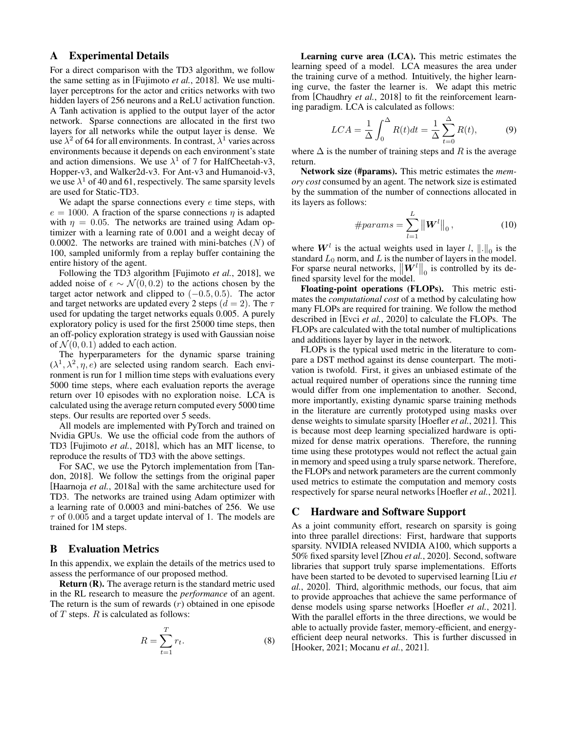# <span id="page-8-1"></span>A Experimental Details

For a direct comparison with the TD3 algorithm, we follow the same setting as in [\[Fujimoto](#page-6-4) *et al.*, 2018]. We use multilayer perceptrons for the actor and critics networks with two hidden layers of 256 neurons and a ReLU activation function. A Tanh activation is applied to the output layer of the actor network. Sparse connections are allocated in the first two layers for all networks while the output layer is dense. We use  $\lambda^2$  of 64 for all environments. In contrast,  $\lambda^1$  varies across environments because it depends on each environment's state and action dimensions. We use  $\lambda^1$  of 7 for HalfCheetah-v3, Hopper-v3, and Walker2d-v3. For Ant-v3 and Humanoid-v3, we use  $\lambda^1$  of 40 and 61, respectively. The same sparsity levels are used for Static-TD3.

We adapt the sparse connections every  $e$  time steps, with  $e = 1000$ . A fraction of the sparse connections  $\eta$  is adapted with  $\eta = 0.05$ . The networks are trained using Adam optimizer with a learning rate of 0.001 and a weight decay of 0.0002. The networks are trained with mini-batches  $(N)$  of 100, sampled uniformly from a replay buffer containing the entire history of the agent.

Following the TD3 algorithm [\[Fujimoto](#page-6-4) *et al.*, 2018], we added noise of  $\epsilon \sim \mathcal{N}(0, 0.2)$  to the actions chosen by the target actor network and clipped to  $(-0.5, 0.5)$ . The actor and target networks are updated every 2 steps ( $d = 2$ ). The  $\tau$ used for updating the target networks equals 0.005. A purely exploratory policy is used for the first 25000 time steps, then an off-policy exploration strategy is used with Gaussian noise of  $\mathcal{N}(0, 0.1)$  added to each action.

The hyperparameters for the dynamic sparse training  $(\lambda^1, \lambda^2, \eta, e)$  are selected using random search. Each environment is run for 1 million time steps with evaluations every 5000 time steps, where each evaluation reports the average return over 10 episodes with no exploration noise. LCA is calculated using the average return computed every 5000 time steps. Our results are reported over 5 seeds.

All models are implemented with PyTorch and trained on Nvidia GPUs. We use the official code from the authors of TD3 [\[Fujimoto](#page-6-4) *et al.*, 2018], which has an MIT license, to reproduce the results of TD3 with the above settings.

For SAC, we use the Pytorch implementation from [\[Tan](#page-7-21)[don, 2018\]](#page-7-21). We follow the settings from the original paper [\[Haarnoja](#page-6-5) *et al.*, 2018a] with the same architecture used for TD3. The networks are trained using Adam optimizer with a learning rate of 0.0003 and mini-batches of 256. We use  $\tau$  of 0.005 and a target update interval of 1. The models are trained for 1M steps.

# <span id="page-8-2"></span>B Evaluation Metrics

In this appendix, we explain the details of the metrics used to assess the performance of our proposed method.

Return (R). The average return is the standard metric used in the RL research to measure the *performance* of an agent. The return is the sum of rewards  $(r)$  obtained in one episode of  $T$  steps.  $R$  is calculated as follows:

$$
R = \sum_{t=1}^{T} r_t.
$$
\n(8)

Learning curve area (LCA). This metric estimates the learning speed of a model. LCA measures the area under the training curve of a method. Intuitively, the higher learning curve, the faster the learner is. We adapt this metric from [\[Chaudhry](#page-5-2) *et al.*, 2018] to fit the reinforcement learning paradigm. LCA is calculated as follows:

$$
LCA = \frac{1}{\Delta} \int_0^{\Delta} R(t)dt = \frac{1}{\Delta} \sum_{t=0}^{\Delta} R(t),
$$
 (9)

where  $\Delta$  is the number of training steps and R is the average return.

Network size (#params). This metric estimates the *memory cost* consumed by an agent. The network size is estimated by the summation of the number of connections allocated in its layers as follows:

#params = 
$$
\sum_{l=1}^{L} ||\mathbf{W}^{l}||_{0}
$$
, (10)

where  $W^l$  is the actual weights used in layer  $l, \|.\|_0$  is the standard  $L_0$  norm, and L is the number of layers in the model. For sparse neural networks,  $\|\mathbf{W}^l\|_0$  is controlled by its defined sparsity level for the model.

Floating-point operations (FLOPs). This metric estimates the *computational cost* of a method by calculating how many FLOPs are required for training. We follow the method described in [Evci *et al.*[, 2020\]](#page-6-11) to calculate the FLOPs. The FLOPs are calculated with the total number of multiplications and additions layer by layer in the network.

FLOPs is the typical used metric in the literature to compare a DST method against its dense counterpart. The motivation is twofold. First, it gives an unbiased estimate of the actual required number of operations since the running time would differ from one implementation to another. Second, more importantly, existing dynamic sparse training methods in the literature are currently prototyped using masks over dense weights to simulate sparsity [\[Hoefler](#page-6-2) *et al.*, 2021]. This is because most deep learning specialized hardware is optimized for dense matrix operations. Therefore, the running time using these prototypes would not reflect the actual gain in memory and speed using a truly sparse network. Therefore, the FLOPs and network parameters are the current commonly used metrics to estimate the computation and memory costs respectively for sparse neural networks [\[Hoefler](#page-6-2) *et al.*, 2021].

### <span id="page-8-0"></span>C Hardware and Software Support

As a joint community effort, research on sparsity is going into three parallel directions: First, hardware that supports sparsity. NVIDIA released NVIDIA A100, which supports a 50% fixed sparsity level [Zhou *et al.*[, 2020\]](#page-7-22). Second, software libraries that support truly sparse implementations. Efforts have been started to be devoted to supervised learning [\[Liu](#page-6-17) *et al.*[, 2020\]](#page-6-17). Third, algorithmic methods, our focus, that aim to provide approaches that achieve the same performance of dense models using sparse networks [\[Hoefler](#page-6-2) *et al.*, 2021]. With the parallel efforts in the three directions, we would be able to actually provide faster, memory-efficient, and energyefficient deep neural networks. This is further discussed in [\[Hooker, 2021;](#page-6-22) [Mocanu](#page-7-3) *et al.*, 2021].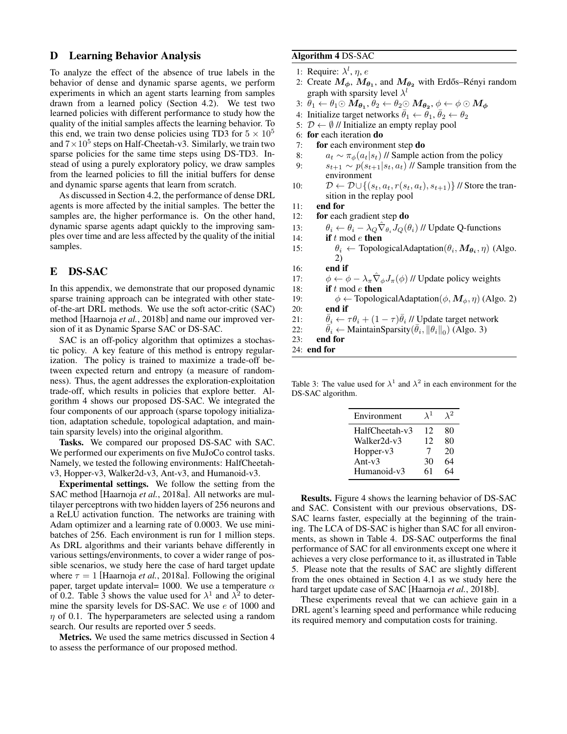# <span id="page-9-1"></span>D Learning Behavior Analysis

To analyze the effect of the absence of true labels in the behavior of dense and dynamic sparse agents, we perform experiments in which an agent starts learning from samples drawn from a learned policy (Section [4.2\)](#page-4-0). We test two learned policies with different performance to study how the quality of the initial samples affects the learning behavior. To this end, we train two dense policies using TD3 for  $5 \times 10^5$ and  $7 \times 10^5$  steps on Half-Cheetah-v3. Similarly, we train two sparse policies for the same time steps using DS-TD3. Instead of using a purely exploratory policy, we draw samples from the learned policies to fill the initial buffers for dense and dynamic sparse agents that learn from scratch.

As discussed in Section [4.2,](#page-4-0) the performance of dense DRL agents is more affected by the initial samples. The better the samples are, the higher performance is. On the other hand, dynamic sparse agents adapt quickly to the improving samples over time and are less affected by the quality of the initial samples.

# <span id="page-9-0"></span>E DS-SAC

In this appendix, we demonstrate that our proposed dynamic sparse training approach can be integrated with other stateof-the-art DRL methods. We use the soft actor-critic (SAC) method [\[Haarnoja](#page-6-21) *et al.*, 2018b] and name our improved version of it as Dynamic Sparse SAC or DS-SAC.

SAC is an off-policy algorithm that optimizes a stochastic policy. A key feature of this method is entropy regularization. The policy is trained to maximize a trade-off between expected return and entropy (a measure of randomness). Thus, the agent addresses the exploration-exploitation trade-off, which results in policies that explore better. Algorithm [4](#page-9-2) shows our proposed DS-SAC. We integrated the four components of our approach (sparse topology initialization, adaptation schedule, topological adaptation, and maintain sparsity levels) into the original algorithm.

Tasks. We compared our proposed DS-SAC with SAC. We performed our experiments on five MuJoCo control tasks. Namely, we tested the following environments: HalfCheetahv3, Hopper-v3, Walker2d-v3, Ant-v3, and Humanoid-v3.

Experimental settings. We follow the setting from the SAC method [\[Haarnoja](#page-6-5) *et al.*, 2018a]. All networks are multilayer perceptrons with two hidden layers of 256 neurons and a ReLU activation function. The networks are training with Adam optimizer and a learning rate of 0.0003. We use minibatches of 256. Each environment is run for 1 million steps. As DRL algorithms and their variants behave differently in various settings/environments, to cover a wider range of possible scenarios, we study here the case of hard target update where  $\tau = 1$  [\[Haarnoja](#page-6-5) *et al.*, 2018a]. Following the original paper, target update interval= 1000. We use a temperature  $\alpha$ of 0.2. Table [3](#page-9-3) shows the value used for  $\lambda^1$  and  $\lambda^2$  to determine the sparsity levels for DS-SAC. We use e of 1000 and  $\eta$  of 0.1. The hyperparameters are selected using a random search. Our results are reported over 5 seeds.

Metrics. We used the same metrics discussed in Section [4](#page-3-2) to assess the performance of our proposed method.

## <span id="page-9-2"></span>Algorithm 4 DS-SAC

- 1: Require:  $\lambda^l$ ,  $\eta$ ,  $e$
- 2: Create  $M_{\phi}$ ,  $M_{\theta_1}$ , and  $M_{\theta_2}$  with Erdős–Rényi random graph with sparsity level  $\lambda^{l}$
- 3:  $\theta_1 \leftarrow \theta_1 \odot \textit{M}_{\theta_1}, \theta_2 \leftarrow \theta_2 \odot \textit{M}_{\theta_2}, \phi \leftarrow \phi \odot \textit{M}_{\phi}$
- 4: Initialize target networks  $\bar{\theta}_1 \leftarrow \hat{\theta}_1, \bar{\theta}_2 \leftarrow \theta_2$
- 5:  $\mathcal{D} \leftarrow \emptyset$  // Initialize an empty replay pool
- 6: for each iteration do
- 7: for each environment step do
- 8:  $a_t \sim \pi_\phi(a_t|s_t)$  // Sample action from the policy
- 9:  $s_{t+1} \sim p(s_{t+1}|s_t, a_t)$  // Sample transition from the environment
- 10:  $\mathcal{D} \leftarrow \mathcal{D} \cup \{(s_t, a_t, r(s_t, a_t), s_{t+1})\}$  // Store the transition in the replay pool
- 11: end for
- 12: for each gradient step do
- 13:  $\theta_i \leftarrow \dot{\theta}_i \lambda_Q \hat{\nabla}_{\theta_i} J_Q(\theta_i)$  // Update Q-functions
- 14: **if**  $t \mod e$  **then**
- 15:  $\theta_i \leftarrow \text{TopologicalAdaptation}(\theta_i, \mathbf{M}_{\theta_i}, \eta)$  (Algo. [2\)](#page-3-0)
- 16: end if
- 17:  $\phi \leftarrow \phi \lambda_{\pi} \hat{\nabla}_{\phi} J_{\pi}(\phi)$  // Update policy weights
- 18: **if**  $t \mod e$  **then**
- 19:  $\phi \leftarrow \text{TopologicalAdaptation}(\phi, \mathbf{M}_{\phi}, \eta)$  (Algo. [2\)](#page-3-0) 20: end if
- 21:  $\bar{\theta}_i \leftarrow \tau \theta_i + (1 \tau) \bar{\theta}_i$  // Update target network
- 22:  $\overline{\theta}_i \leftarrow$  MaintainSparsity $(\overline{\theta}_i, ||\theta_i||_0)$  (Algo. [3\)](#page-3-1)

23: end for

24: end for

<span id="page-9-3"></span>Table 3: The value used for  $\lambda^1$  and  $\lambda^2$  in each environment for the DS-SAC algorithm.

| Environment    | $\lambda^1$ | $\lambda^2$ |
|----------------|-------------|-------------|
| HalfCheetah-v3 | 12          | 80          |
| Walker2d-v3    | 12          | 80          |
| Hopper-v3      | 7           | 20          |
| Ant- $v3$      | 30          | 64          |
| Humanoid-v3    | 61          | 64          |

Results. Figure [4](#page-10-0) shows the learning behavior of DS-SAC and SAC. Consistent with our previous observations, DS-SAC learns faster, especially at the beginning of the training. The LCA of DS-SAC is higher than SAC for all environments, as shown in Table [4.](#page-10-1) DS-SAC outperforms the final performance of SAC for all environments except one where it achieves a very close performance to it, as illustrated in Table [5.](#page-10-2) Please note that the results of SAC are slightly different from the ones obtained in Section [4.1](#page-3-3) as we study here the hard target update case of SAC [\[Haarnoja](#page-6-21) *et al.*, 2018b].

These experiments reveal that we can achieve gain in a DRL agent's learning speed and performance while reducing its required memory and computation costs for training.